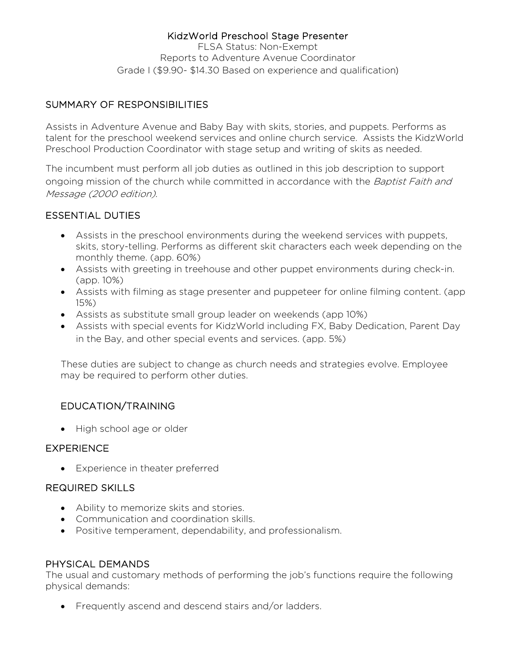### KidzWorld Preschool Stage Presenter

FLSA Status: Non-Exempt Reports to Adventure Avenue Coordinator Grade I (\$9.90- \$14.30 Based on experience and qualification)

### SUMMARY OF RESPONSIBILITIES

Assists in Adventure Avenue and Baby Bay with skits, stories, and puppets. Performs as talent for the preschool weekend services and online church service. Assists the KidzWorld Preschool Production Coordinator with stage setup and writing of skits as needed.

The incumbent must perform all job duties as outlined in this job description to support ongoing mission of the church while committed in accordance with the *Baptist Faith and* Message (2000 edition).

# ESSENTIAL DUTIES

- Assists in the preschool environments during the weekend services with puppets, skits, story-telling. Performs as different skit characters each week depending on the monthly theme. (app. 60%)
- Assists with greeting in treehouse and other puppet environments during check-in. (app. 10%)
- Assists with filming as stage presenter and puppeteer for online filming content. (app 15%)
- Assists as substitute small group leader on weekends (app 10%)
- Assists with special events for KidzWorld including FX, Baby Dedication, Parent Day in the Bay, and other special events and services. (app. 5%)

These duties are subject to change as church needs and strategies evolve. Employee may be required to perform other duties.

# EDUCATION/TRAINING

• High school age or older

#### **EXPERIENCE**

• Experience in theater preferred

#### REQUIRED SKILLS

- Ability to memorize skits and stories.
- Communication and coordination skills.
- Positive temperament, dependability, and professionalism.

#### PHYSICAL DEMANDS

The usual and customary methods of performing the job's functions require the following physical demands:

• Frequently ascend and descend stairs and/or ladders.